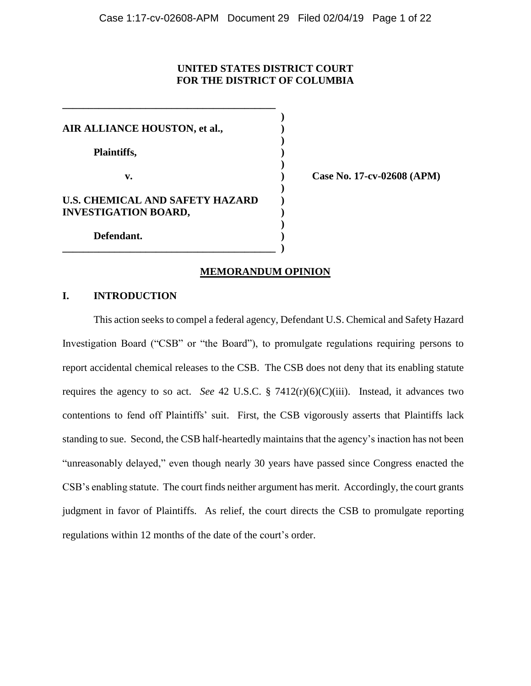## **UNITED STATES DISTRICT COURT FOR THE DISTRICT OF COLUMBIA**

**)**

**)**

**)**

**)**

**)**

**AIR ALLIANCE HOUSTON, et al., )**

**\_\_\_\_\_\_\_\_\_\_\_\_\_\_\_\_\_\_\_\_\_\_\_\_\_\_\_\_\_\_\_\_\_\_\_\_\_\_\_\_\_** 

**Plaintiffs, )**

# **U.S. CHEMICAL AND SAFETY HAZARD ) INVESTIGATION BOARD, )**

**\_\_\_\_\_\_\_\_\_\_\_\_\_\_\_\_\_\_\_\_\_\_\_\_\_\_\_\_\_\_\_\_\_\_\_\_\_\_\_\_\_ )**

**v. ) Case No. 17-cv-02608 (APM)**

**Defendant. )**

## **MEMORANDUM OPINION**

## **I. INTRODUCTION**

This action seeks to compel a federal agency, Defendant U.S. Chemical and Safety Hazard Investigation Board ("CSB" or "the Board"), to promulgate regulations requiring persons to report accidental chemical releases to the CSB. The CSB does not deny that its enabling statute requires the agency to so act. *See* 42 U.S.C. § 7412(r)(6)(C)(iii). Instead, it advances two contentions to fend off Plaintiffs' suit. First, the CSB vigorously asserts that Plaintiffs lack standing to sue. Second, the CSB half-heartedly maintains that the agency's inaction has not been "unreasonably delayed," even though nearly 30 years have passed since Congress enacted the CSB's enabling statute. The court finds neither argument has merit. Accordingly, the court grants judgment in favor of Plaintiffs. As relief, the court directs the CSB to promulgate reporting regulations within 12 months of the date of the court's order.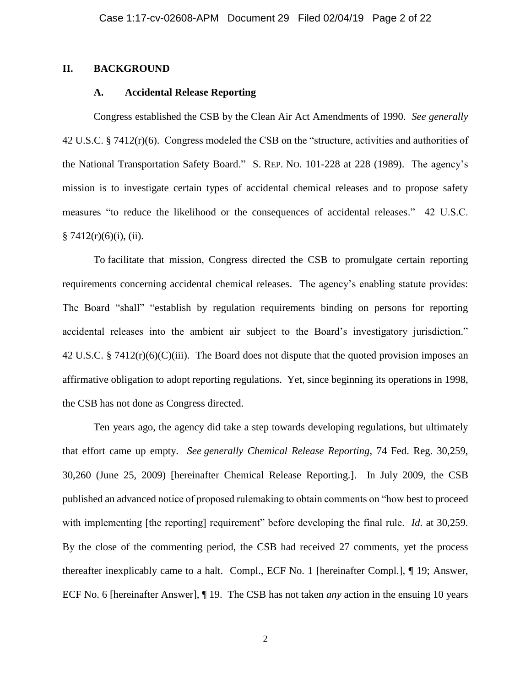## **II. BACKGROUND**

## **A. Accidental Release Reporting**

Congress established the CSB by the Clean Air Act Amendments of 1990. *See generally*  42 U.S.C. § 7412(r)(6).Congress modeled the CSB on the "structure, activities and authorities of the National Transportation Safety Board." S. REP. NO. 101-228 at 228 (1989). The agency's mission is to investigate certain types of accidental chemical releases and to propose safety measures "to reduce the likelihood or the consequences of accidental releases." 42 U.S.C.  $§ 7412(r)(6)(i)$ , (ii).

To facilitate that mission, Congress directed the CSB to promulgate certain reporting requirements concerning accidental chemical releases. The agency's enabling statute provides: The Board "shall" "establish by regulation requirements binding on persons for reporting accidental releases into the ambient air subject to the Board's investigatory jurisdiction." 42 U.S.C. § 7412 $(r)(6)(C)(iii)$ . The Board does not dispute that the quoted provision imposes an affirmative obligation to adopt reporting regulations. Yet, since beginning its operations in 1998, the CSB has not done as Congress directed.

Ten years ago, the agency did take a step towards developing regulations, but ultimately that effort came up empty. *See generally Chemical Release Reporting*, 74 Fed. Reg. 30,259, 30,260 (June 25, 2009) [hereinafter Chemical Release Reporting.]. In July 2009, the CSB published an advanced notice of proposed rulemaking to obtain comments on "how best to proceed with implementing [the reporting] requirement" before developing the final rule. *Id*. at 30,259. By the close of the commenting period, the CSB had received 27 comments, yet the process thereafter inexplicably came to a halt. Compl., ECF No. 1 [hereinafter Compl.], ¶ 19; Answer, ECF No. 6 [hereinafter Answer], ¶ 19. The CSB has not taken *any* action in the ensuing 10 years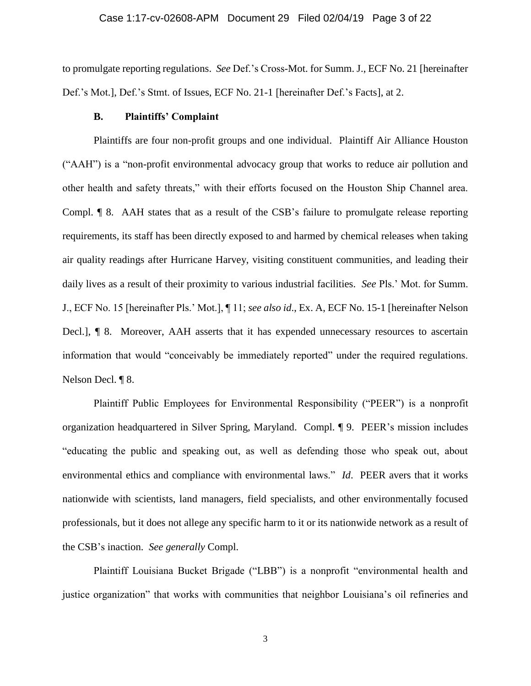to promulgate reporting regulations. *See* Def.'s Cross-Mot. for Summ. J., ECF No. 21 [hereinafter Def.'s Mot.], Def.'s Stmt. of Issues, ECF No. 21-1 [hereinafter Def.'s Facts], at 2.

#### **B. Plaintiffs' Complaint**

Plaintiffs are four non-profit groups and one individual. Plaintiff Air Alliance Houston ("AAH") is a "non-profit environmental advocacy group that works to reduce air pollution and other health and safety threats," with their efforts focused on the Houston Ship Channel area. Compl. ¶ 8. AAH states that as a result of the CSB's failure to promulgate release reporting requirements, its staff has been directly exposed to and harmed by chemical releases when taking air quality readings after Hurricane Harvey, visiting constituent communities, and leading their daily lives as a result of their proximity to various industrial facilities. *See* Pls.' Mot. for Summ. J., ECF No. 15 [hereinafter Pls.' Mot.], ¶ 11; *see also id*., Ex. A, ECF No. 15-1 [hereinafter Nelson Decl.], ¶ 8. Moreover, AAH asserts that it has expended unnecessary resources to ascertain information that would "conceivably be immediately reported" under the required regulations. Nelson Decl. ¶ 8.

Plaintiff Public Employees for Environmental Responsibility ("PEER") is a nonprofit organization headquartered in Silver Spring, Maryland. Compl. ¶ 9. PEER's mission includes "educating the public and speaking out, as well as defending those who speak out, about environmental ethics and compliance with environmental laws." *Id*. PEER avers that it works nationwide with scientists, land managers, field specialists, and other environmentally focused professionals, but it does not allege any specific harm to it or its nationwide network as a result of the CSB's inaction. *See generally* Compl.

Plaintiff Louisiana Bucket Brigade ("LBB") is a nonprofit "environmental health and justice organization" that works with communities that neighbor Louisiana's oil refineries and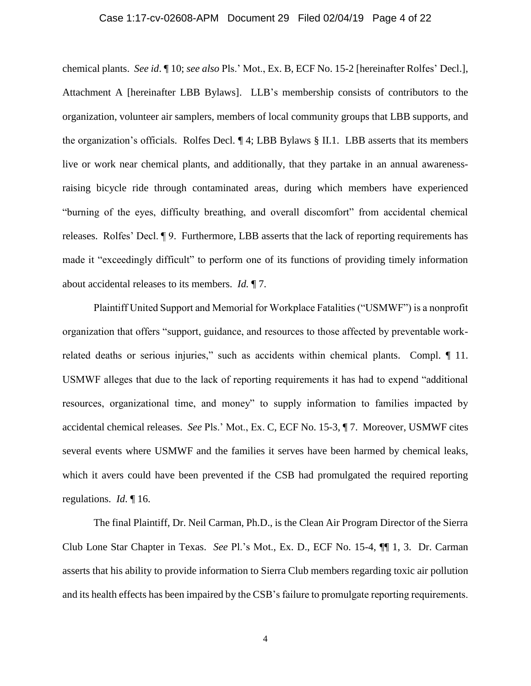#### Case 1:17-cv-02608-APM Document 29 Filed 02/04/19 Page 4 of 22

chemical plants. *See id*. ¶ 10; *see also* Pls.' Mot., Ex. B, ECF No. 15-2 [hereinafter Rolfes' Decl.], Attachment A [hereinafter LBB Bylaws]. LLB's membership consists of contributors to the organization, volunteer air samplers, members of local community groups that LBB supports, and the organization's officials. Rolfes Decl. ¶ 4; LBB Bylaws § II.1. LBB asserts that its members live or work near chemical plants, and additionally, that they partake in an annual awarenessraising bicycle ride through contaminated areas, during which members have experienced "burning of the eyes, difficulty breathing, and overall discomfort" from accidental chemical releases. Rolfes' Decl. ¶ 9. Furthermore, LBB asserts that the lack of reporting requirements has made it "exceedingly difficult" to perform one of its functions of providing timely information about accidental releases to its members. *Id.* ¶ 7.

Plaintiff United Support and Memorial for Workplace Fatalities ("USMWF") is a nonprofit organization that offers "support, guidance, and resources to those affected by preventable workrelated deaths or serious injuries," such as accidents within chemical plants. Compl. 11. USMWF alleges that due to the lack of reporting requirements it has had to expend "additional resources, organizational time, and money" to supply information to families impacted by accidental chemical releases. *See* Pls.' Mot., Ex. C, ECF No. 15-3, ¶ 7. Moreover, USMWF cites several events where USMWF and the families it serves have been harmed by chemical leaks, which it avers could have been prevented if the CSB had promulgated the required reporting regulations. *Id*. ¶ 16.

The final Plaintiff, Dr. Neil Carman, Ph.D., is the Clean Air Program Director of the Sierra Club Lone Star Chapter in Texas. *See* Pl.'s Mot., Ex. D., ECF No. 15-4, ¶¶ 1, 3. Dr. Carman asserts that his ability to provide information to Sierra Club members regarding toxic air pollution and its health effects has been impaired by the CSB's failure to promulgate reporting requirements.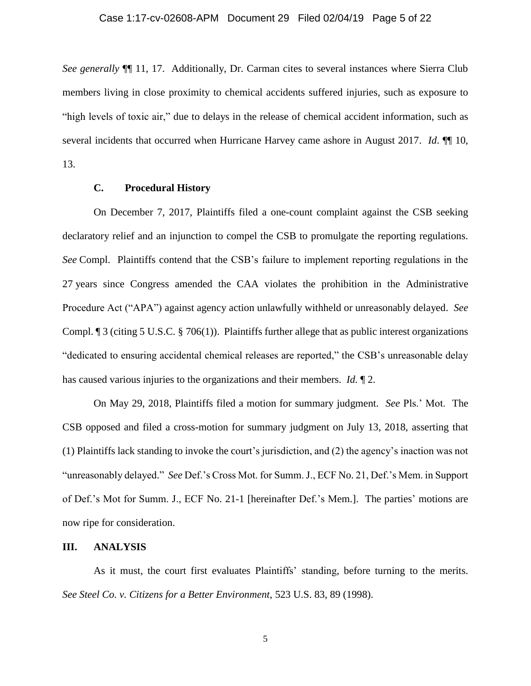*See generally* ¶¶ 11, 17. Additionally, Dr. Carman cites to several instances where Sierra Club members living in close proximity to chemical accidents suffered injuries, such as exposure to "high levels of toxic air," due to delays in the release of chemical accident information, such as several incidents that occurred when Hurricane Harvey came ashore in August 2017. *Id*. ¶¶ 10, 13.

#### **C. Procedural History**

On December 7, 2017, Plaintiffs filed a one-count complaint against the CSB seeking declaratory relief and an injunction to compel the CSB to promulgate the reporting regulations. *See* Compl. Plaintiffs contend that the CSB's failure to implement reporting regulations in the 27 years since Congress amended the CAA violates the prohibition in the Administrative Procedure Act ("APA") against agency action unlawfully withheld or unreasonably delayed. *See*  Compl. ¶ 3 (citing 5 U.S.C. § 706(1)). Plaintiffs further allege that as public interest organizations "dedicated to ensuring accidental chemical releases are reported," the CSB's unreasonable delay has caused various injuries to the organizations and their members. *Id.* ¶ 2.

On May 29, 2018, Plaintiffs filed a motion for summary judgment. *See* Pls.' Mot. The CSB opposed and filed a cross-motion for summary judgment on July 13, 2018, asserting that (1) Plaintiffs lack standing to invoke the court's jurisdiction, and (2) the agency's inaction was not "unreasonably delayed." *See* Def.'s Cross Mot. for Summ. J., ECF No. 21, Def.'s Mem. in Support of Def.'s Mot for Summ. J., ECF No. 21-1 [hereinafter Def.'s Mem.]. The parties' motions are now ripe for consideration.

#### **III. ANALYSIS**

As it must, the court first evaluates Plaintiffs' standing, before turning to the merits. *See Steel Co. v. Citizens for a Better Environment*, 523 U.S. 83, 89 (1998).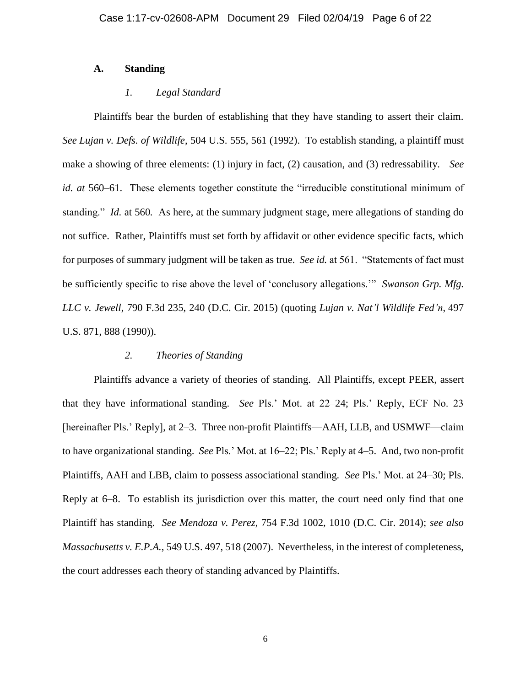## **A. Standing**

## *1. Legal Standard*

Plaintiffs bear the burden of establishing that they have standing to assert their claim. *See Lujan v. Defs. of Wildlife*, 504 U.S. 555, 561 (1992). To establish standing, a plaintiff must make a showing of three elements: (1) injury in fact, (2) causation, and (3) redressability. *See id. at* 560–61. These elements together constitute the "irreducible constitutional minimum of standing." *Id.* at 560*.* As here, at the summary judgment stage, mere allegations of standing do not suffice. Rather, Plaintiffs must set forth by affidavit or other evidence specific facts, which for purposes of summary judgment will be taken as true. *See id.* at 561. "Statements of fact must be sufficiently specific to rise above the level of 'conclusory allegations.'" *Swanson Grp. Mfg. LLC v. Jewell*, 790 F.3d 235, 240 (D.C. Cir. 2015) (quoting *Lujan v. Nat'l Wildlife Fed'n*, 497 U.S. 871, 888 (1990)).

## *2. Theories of Standing*

Plaintiffs advance a variety of theories of standing. All Plaintiffs, except PEER, assert that they have informational standing. *See* Pls.' Mot. at 22–24; Pls.' Reply, ECF No. 23 [hereinafter Pls.' Reply], at 2–3. Three non-profit Plaintiffs—AAH, LLB, and USMWF—claim to have organizational standing. *See* Pls.' Mot. at 16–22; Pls.' Reply at 4–5. And, two non-profit Plaintiffs, AAH and LBB, claim to possess associational standing. *See* Pls.' Mot. at 24–30; Pls. Reply at 6–8. To establish its jurisdiction over this matter, the court need only find that one Plaintiff has standing. *See Mendoza v. Perez*, 754 F.3d 1002, 1010 (D.C. Cir. 2014); *see also Massachusetts v. E.P.A.*, 549 U.S. 497, 518 (2007). Nevertheless, in the interest of completeness, the court addresses each theory of standing advanced by Plaintiffs.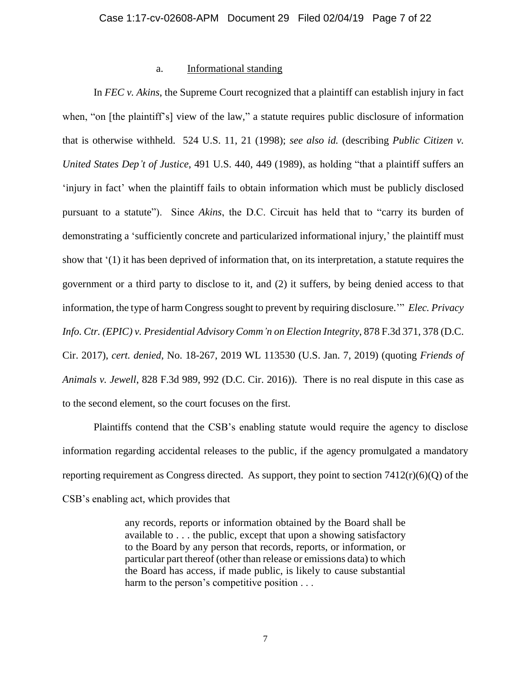## a. Informational standing

In *FEC v. Akins*, the Supreme Court recognized that a plaintiff can establish injury in fact when, "on [the plaintiff's] view of the law," a statute requires public disclosure of information that is otherwise withheld. 524 U.S. 11, 21 (1998); *see also id.* (describing *Public Citizen v. United States Dep't of Justice*, 491 U.S. 440, 449 (1989), as holding "that a plaintiff suffers an 'injury in fact' when the plaintiff fails to obtain information which must be publicly disclosed pursuant to a statute"). Since *Akins*, the D.C. Circuit has held that to "carry its burden of demonstrating a 'sufficiently concrete and particularized informational injury,' the plaintiff must show that '(1) it has been deprived of information that, on its interpretation, a statute requires the government or a third party to disclose to it, and (2) it suffers, by being denied access to that information, the type of harm Congress sought to prevent by requiring disclosure.'" *Elec. Privacy Info. Ctr. (EPIC) v. Presidential Advisory Comm'n on Election Integrity*, 878 F.3d 371, 378 (D.C. Cir. 2017), *cert. denied*, No. 18-267, 2019 WL 113530 (U.S. Jan. 7, 2019) (quoting *Friends of Animals v. Jewell*, 828 F.3d 989, 992 (D.C. Cir. 2016)). There is no real dispute in this case as to the second element, so the court focuses on the first.

Plaintiffs contend that the CSB's enabling statute would require the agency to disclose information regarding accidental releases to the public, if the agency promulgated a mandatory reporting requirement as Congress directed. As support, they point to section  $7412(r)(6)(Q)$  of the CSB's enabling act, which provides that

> any records, reports or information obtained by the Board shall be available to . . . the public, except that upon a showing satisfactory to the Board by any person that records, reports, or information, or particular part thereof (other than release or emissions data) to which the Board has access, if made public, is likely to cause substantial harm to the person's competitive position . . .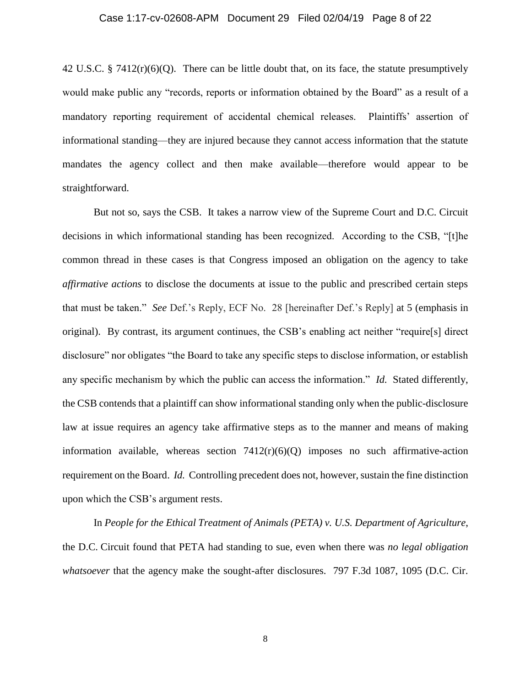#### Case 1:17-cv-02608-APM Document 29 Filed 02/04/19 Page 8 of 22

42 U.S.C. § 7412 $(r)(6)(Q)$ . There can be little doubt that, on its face, the statute presumptively would make public any "records, reports or information obtained by the Board" as a result of a mandatory reporting requirement of accidental chemical releases. Plaintiffs' assertion of informational standing—they are injured because they cannot access information that the statute mandates the agency collect and then make available—therefore would appear to be straightforward.

But not so, says the CSB. It takes a narrow view of the Supreme Court and D.C. Circuit decisions in which informational standing has been recognized. According to the CSB, "[t]he common thread in these cases is that Congress imposed an obligation on the agency to take *affirmative actions* to disclose the documents at issue to the public and prescribed certain steps that must be taken." *See* Def.'s Reply, ECF No. 28 [hereinafter Def.'s Reply] at 5 (emphasis in original). By contrast, its argument continues, the CSB's enabling act neither "require[s] direct disclosure" nor obligates "the Board to take any specific steps to disclose information, or establish any specific mechanism by which the public can access the information." *Id.* Stated differently, the CSB contends that a plaintiff can show informational standing only when the public-disclosure law at issue requires an agency take affirmative steps as to the manner and means of making information available, whereas section  $7412(r)(6)(Q)$  imposes no such affirmative-action requirement on the Board. *Id.* Controlling precedent does not, however, sustain the fine distinction upon which the CSB's argument rests.

In *People for the Ethical Treatment of Animals (PETA) v. U.S. Department of Agriculture*, the D.C. Circuit found that PETA had standing to sue, even when there was *no legal obligation whatsoever* that the agency make the sought-after disclosures. 797 F.3d 1087, 1095 (D.C. Cir.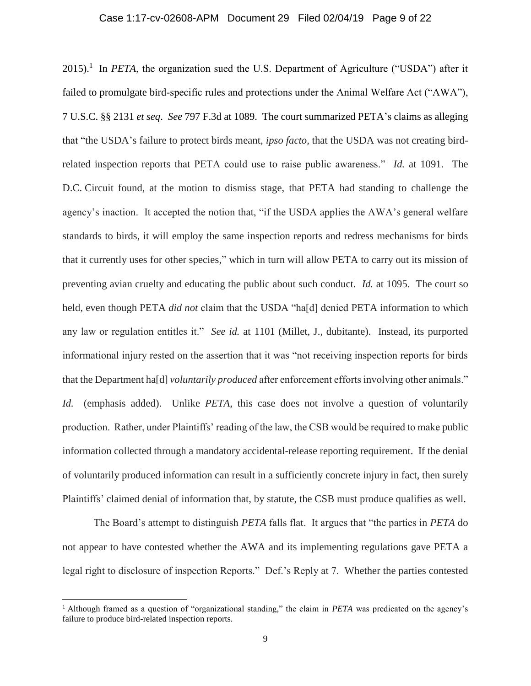#### Case 1:17-cv-02608-APM Document 29 Filed 02/04/19 Page 9 of 22

 $2015$ ).<sup>1</sup> In *PETA*, the organization sued the U.S. Department of Agriculture ("USDA") after it failed to promulgate bird-specific rules and protections under the Animal Welfare Act ("AWA"), 7 U.S.C. §§ 2131 *et seq*. *See* 797 F.3d at 1089. The court summarized PETA's claims as alleging that "the USDA's failure to protect birds meant, *ipso facto,* that the USDA was not creating birdrelated inspection reports that PETA could use to raise public awareness." *Id.* at 1091. The D.C. Circuit found, at the motion to dismiss stage, that PETA had standing to challenge the agency's inaction. It accepted the notion that, "if the USDA applies the AWA's general welfare standards to birds, it will employ the same inspection reports and redress mechanisms for birds that it currently uses for other species," which in turn will allow PETA to carry out its mission of preventing avian cruelty and educating the public about such conduct. *Id.* at 1095. The court so held, even though PETA *did not* claim that the USDA "ha[d] denied PETA information to which any law or regulation entitles it." *See id.* at 1101 (Millet, J., dubitante). Instead, its purported informational injury rested on the assertion that it was "not receiving inspection reports for birds that the Department ha[d] *voluntarily produced* after enforcement efforts involving other animals." *Id.* (emphasis added). Unlike *PETA*, this case does not involve a question of voluntarily production. Rather, under Plaintiffs' reading of the law, the CSB would be required to make public information collected through a mandatory accidental-release reporting requirement. If the denial of voluntarily produced information can result in a sufficiently concrete injury in fact, then surely Plaintiffs' claimed denial of information that, by statute, the CSB must produce qualifies as well.

The Board's attempt to distinguish *PETA* falls flat. It argues that "the parties in *PETA* do not appear to have contested whether the AWA and its implementing regulations gave PETA a legal right to disclosure of inspection Reports." Def.'s Reply at 7. Whether the parties contested

 $\overline{a}$ 

<sup>1</sup> Although framed as a question of "organizational standing," the claim in *PETA* was predicated on the agency's failure to produce bird-related inspection reports.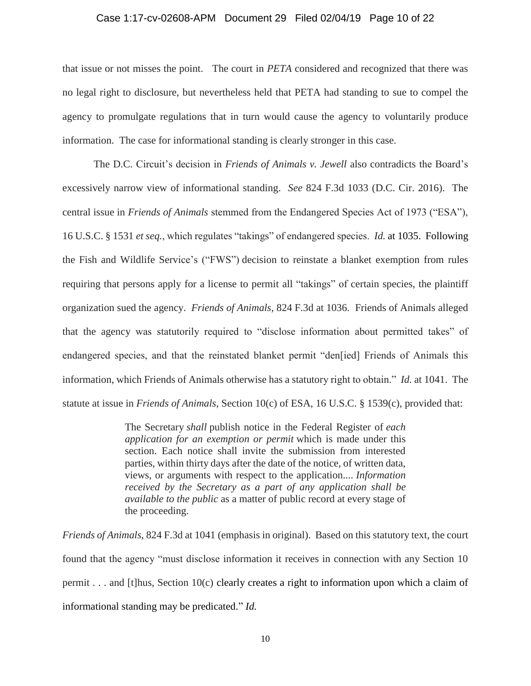#### Case 1:17-cv-02608-APM Document 29 Filed 02/04/19 Page 10 of 22

that issue or not misses the point. The court in *PETA* considered and recognized that there was no legal right to disclosure, but nevertheless held that PETA had standing to sue to compel the agency to promulgate regulations that in turn would cause the agency to voluntarily produce information. The case for informational standing is clearly stronger in this case.

The D.C. Circuit's decision in *Friends of Animals v. Jewell* also contradicts the Board's excessively narrow view of informational standing. *See* 824 F.3d 1033 (D.C. Cir. 2016). The central issue in *Friends of Animals* stemmed from the Endangered Species Act of 1973 ("ESA"), 16 U.S.C. § 1531 *et seq.*, which regulates "takings" of endangered species. *Id.* at 1035. Following the Fish and Wildlife Service's ("FWS") decision to reinstate a blanket exemption from rules requiring that persons apply for a license to permit all "takings" of certain species, the plaintiff organization sued the agency. *Friends of Animals*, 824 F.3d at 1036. Friends of Animals alleged that the agency was statutorily required to "disclose information about permitted takes" of endangered species, and that the reinstated blanket permit "den[ied] Friends of Animals this information, which Friends of Animals otherwise has a statutory right to obtain." *Id.* at 1041. The statute at issue in *Friends of Animals*, Section 10(c) of ESA, 16 U.S.C. § 1539(c), provided that:

> The Secretary *shall* publish notice in the Federal Register of *each application for an exemption or permit* which is made under this section. Each notice shall invite the submission from interested parties, within thirty days after the date of the notice, of written data, views, or arguments with respect to the application.... *Information received by the Secretary as a part of any application shall be available to the public* as a matter of public record at every stage of the proceeding.

*Friends of Animals*, 824 F.3d at 1041 (emphasis in original). Based on this statutory text, the court found that the agency "must disclose information it receives in connection with any Section 10 permit . . . and [t]hus, Section 10(c) clearly creates a right to information upon which a claim of informational standing may be predicated." *Id.*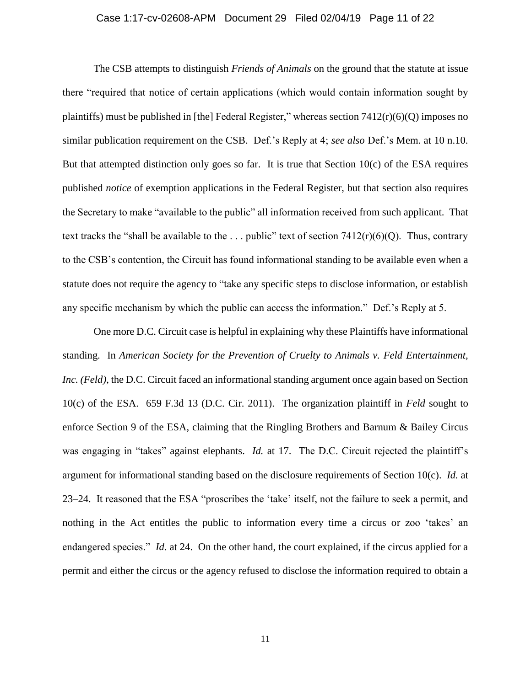#### Case 1:17-cv-02608-APM Document 29 Filed 02/04/19 Page 11 of 22

The CSB attempts to distinguish *Friends of Animals* on the ground that the statute at issue there "required that notice of certain applications (which would contain information sought by plaintiffs) must be published in [the] Federal Register," whereas section  $7412(r)(6)(Q)$  imposes no similar publication requirement on the CSB. Def.'s Reply at 4; *see also* Def.'s Mem. at 10 n.10. But that attempted distinction only goes so far. It is true that Section  $10(c)$  of the ESA requires published *notice* of exemption applications in the Federal Register, but that section also requires the Secretary to make "available to the public" all information received from such applicant. That text tracks the "shall be available to the ... public" text of section  $7412(r)(6)(Q)$ . Thus, contrary to the CSB's contention, the Circuit has found informational standing to be available even when a statute does not require the agency to "take any specific steps to disclose information, or establish any specific mechanism by which the public can access the information." Def.'s Reply at 5.

One more D.C. Circuit case is helpful in explaining why these Plaintiffs have informational standing. In *American Society for the Prevention of Cruelty to Animals v. Feld Entertainment, Inc. (Feld)*, the D.C. Circuit faced an informational standing argument once again based on Section 10(c) of the ESA. 659 F.3d 13 (D.C. Cir. 2011). The organization plaintiff in *Feld* sought to enforce Section 9 of the ESA, claiming that the Ringling Brothers and Barnum & Bailey Circus was engaging in "takes" against elephants. *Id.* at 17. The D.C. Circuit rejected the plaintiff's argument for informational standing based on the disclosure requirements of Section 10(c). *Id.* at 23–24. It reasoned that the ESA "proscribes the 'take' itself, not the failure to seek a permit, and nothing in the Act entitles the public to information every time a circus or zoo 'takes' an endangered species." *Id.* at 24. On the other hand, the court explained, if the circus applied for a permit and either the circus or the agency refused to disclose the information required to obtain a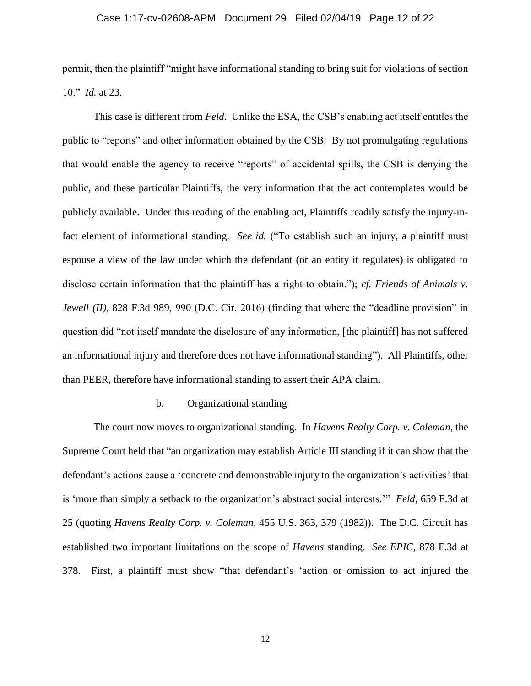#### Case 1:17-cv-02608-APM Document 29 Filed 02/04/19 Page 12 of 22

permit, then the plaintiff "might have informational standing to bring suit for violations of section 10." *Id.* at 23.

This case is different from *Feld*.Unlike the ESA, the CSB's enabling act itself entitles the public to "reports" and other information obtained by the CSB. By not promulgating regulations that would enable the agency to receive "reports" of accidental spills, the CSB is denying the public, and these particular Plaintiffs, the very information that the act contemplates would be publicly available. Under this reading of the enabling act, Plaintiffs readily satisfy the injury-infact element of informational standing. *See id.* ("To establish such an injury, a plaintiff must espouse a view of the law under which the defendant (or an entity it regulates) is obligated to disclose certain information that the plaintiff has a right to obtain."); *cf. Friends of Animals v. Jewell* (*II*), 828 F.3d 989, 990 (D.C. Cir. 2016) (finding that where the "deadline provision" in question did "not itself mandate the disclosure of any information, [the plaintiff] has not suffered an informational injury and therefore does not have informational standing"). All Plaintiffs, other than PEER, therefore have informational standing to assert their APA claim.

## b. Organizational standing

The court now moves to organizational standing. In *Havens Realty Corp. v. Coleman*, the Supreme Court held that "an organization may establish Article III standing if it can show that the defendant's actions cause a 'concrete and demonstrable injury to the organization's activities' that is 'more than simply a setback to the organization's abstract social interests.'" *Feld*, 659 F.3d at 25 (quoting *Havens Realty Corp. v. Coleman*, 455 U.S. 363, 379 (1982)). The D.C. Circuit has established two important limitations on the scope of *Havens* standing. *See EPIC*, 878 F.3d at 378. First, a plaintiff must show "that defendant's 'action or omission to act injured the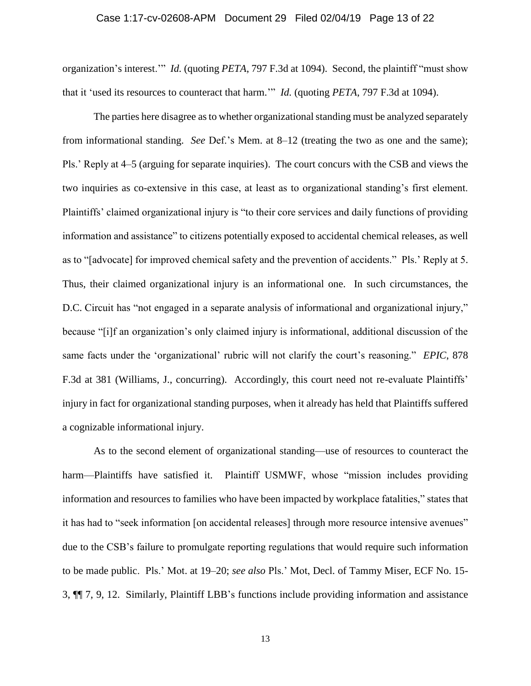#### Case 1:17-cv-02608-APM Document 29 Filed 02/04/19 Page 13 of 22

organization's interest.'" *Id.* (quoting *PETA*, 797 F.3d at 1094). Second, the plaintiff "must show that it 'used its resources to counteract that harm.'" *Id.* (quoting *PETA*, 797 F.3d at 1094).

The parties here disagree as to whether organizational standing must be analyzed separately from informational standing. *See* Def.'s Mem. at 8–12 (treating the two as one and the same); Pls.' Reply at 4–5 (arguing for separate inquiries). The court concurs with the CSB and views the two inquiries as co-extensive in this case, at least as to organizational standing's first element. Plaintiffs' claimed organizational injury is "to their core services and daily functions of providing information and assistance" to citizens potentially exposed to accidental chemical releases, as well as to "[advocate] for improved chemical safety and the prevention of accidents." Pls.' Reply at 5. Thus, their claimed organizational injury is an informational one. In such circumstances, the D.C. Circuit has "not engaged in a separate analysis of informational and organizational injury," because "[i]f an organization's only claimed injury is informational, additional discussion of the same facts under the 'organizational' rubric will not clarify the court's reasoning." *EPIC*, 878 F.3d at 381 (Williams, J., concurring). Accordingly, this court need not re-evaluate Plaintiffs' injury in fact for organizational standing purposes, when it already has held that Plaintiffs suffered a cognizable informational injury.

As to the second element of organizational standing—use of resources to counteract the harm—Plaintiffs have satisfied it. Plaintiff USMWF, whose "mission includes providing information and resources to families who have been impacted by workplace fatalities," states that it has had to "seek information [on accidental releases] through more resource intensive avenues" due to the CSB's failure to promulgate reporting regulations that would require such information to be made public. Pls.' Mot. at 19–20; *see also* Pls.' Mot, Decl. of Tammy Miser, ECF No. 15- 3, ¶¶ 7, 9, 12. Similarly, Plaintiff LBB's functions include providing information and assistance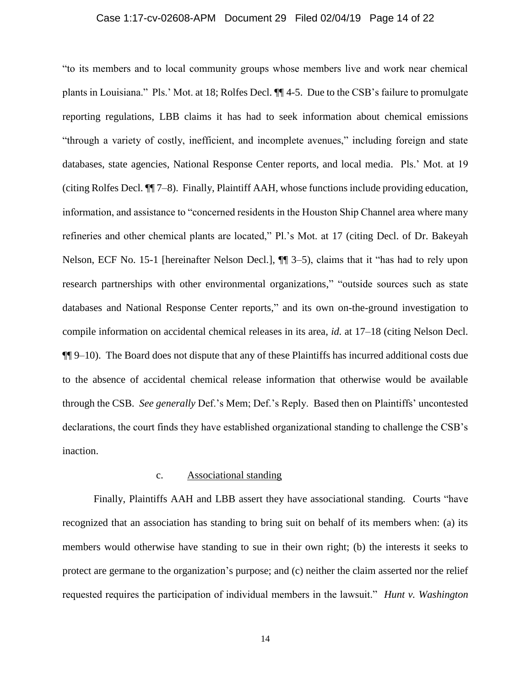#### Case 1:17-cv-02608-APM Document 29 Filed 02/04/19 Page 14 of 22

"to its members and to local community groups whose members live and work near chemical plants in Louisiana." Pls.' Mot. at 18; Rolfes Decl. ¶¶ 4-5. Due to the CSB's failure to promulgate reporting regulations, LBB claims it has had to seek information about chemical emissions "through a variety of costly, inefficient, and incomplete avenues," including foreign and state databases, state agencies, National Response Center reports, and local media. Pls.' Mot. at 19 (citing Rolfes Decl. ¶¶ 7–8). Finally, Plaintiff AAH, whose functions include providing education, information, and assistance to "concerned residents in the Houston Ship Channel area where many refineries and other chemical plants are located," Pl.'s Mot. at 17 (citing Decl. of Dr. Bakeyah Nelson, ECF No. 15-1 [hereinafter Nelson Decl.], ¶¶ 3–5), claims that it "has had to rely upon research partnerships with other environmental organizations," "outside sources such as state databases and National Response Center reports," and its own on-the-ground investigation to compile information on accidental chemical releases in its area, *id.* at 17–18 (citing Nelson Decl. ¶¶ 9–10). The Board does not dispute that any of these Plaintiffs has incurred additional costs due to the absence of accidental chemical release information that otherwise would be available through the CSB. *See generally* Def.'s Mem; Def.'s Reply. Based then on Plaintiffs' uncontested declarations, the court finds they have established organizational standing to challenge the CSB's inaction.

#### c. Associational standing

Finally, Plaintiffs AAH and LBB assert they have associational standing. Courts "have recognized that an association has standing to bring suit on behalf of its members when: (a) its members would otherwise have standing to sue in their own right; (b) the interests it seeks to protect are germane to the organization's purpose; and (c) neither the claim asserted nor the relief requested requires the participation of individual members in the lawsuit." *Hunt v. Washington*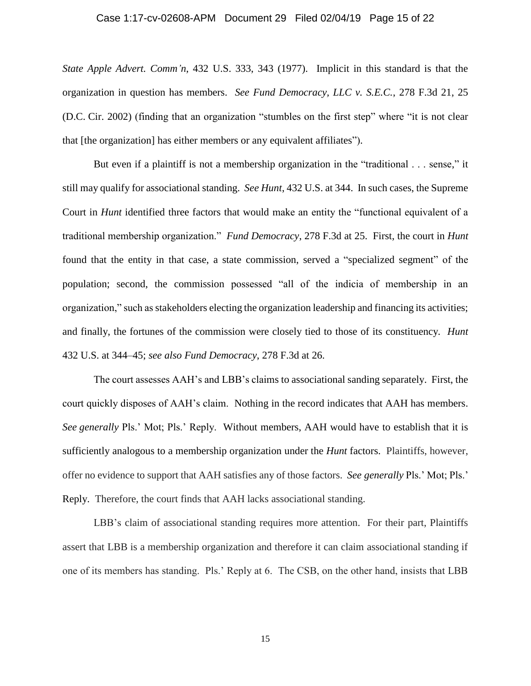#### Case 1:17-cv-02608-APM Document 29 Filed 02/04/19 Page 15 of 22

*State Apple Advert. Comm'n*, 432 U.S. 333, 343 (1977). Implicit in this standard is that the organization in question has members. *See Fund Democracy, LLC v. S.E.C.*, 278 F.3d 21, 25 (D.C. Cir. 2002) (finding that an organization "stumbles on the first step" where "it is not clear that [the organization] has either members or any equivalent affiliates").

But even if a plaintiff is not a membership organization in the "traditional . . . sense," it still may qualify for associational standing. *See Hunt*, 432 U.S. at 344. In such cases, the Supreme Court in *Hunt* identified three factors that would make an entity the "functional equivalent of a traditional membership organization." *Fund Democracy*, 278 F.3d at 25. First, the court in *Hunt* found that the entity in that case, a state commission, served a "specialized segment" of the population; second, the commission possessed "all of the indicia of membership in an organization," such as stakeholders electing the organization leadership and financing its activities; and finally, the fortunes of the commission were closely tied to those of its constituency*. Hunt*  432 U.S. at 344–45; *see also Fund Democracy*, 278 F.3d at 26.

The court assesses AAH's and LBB's claims to associational sanding separately. First, the court quickly disposes of AAH's claim. Nothing in the record indicates that AAH has members. *See generally* Pls.' Mot; Pls.' Reply. Without members, AAH would have to establish that it is sufficiently analogous to a membership organization under the *Hunt* factors. Plaintiffs, however, offer no evidence to support that AAH satisfies any of those factors. *See generally* Pls.' Mot; Pls.' Reply. Therefore, the court finds that AAH lacks associational standing.

LBB's claim of associational standing requires more attention. For their part, Plaintiffs assert that LBB is a membership organization and therefore it can claim associational standing if one of its members has standing. Pls.' Reply at 6. The CSB, on the other hand, insists that LBB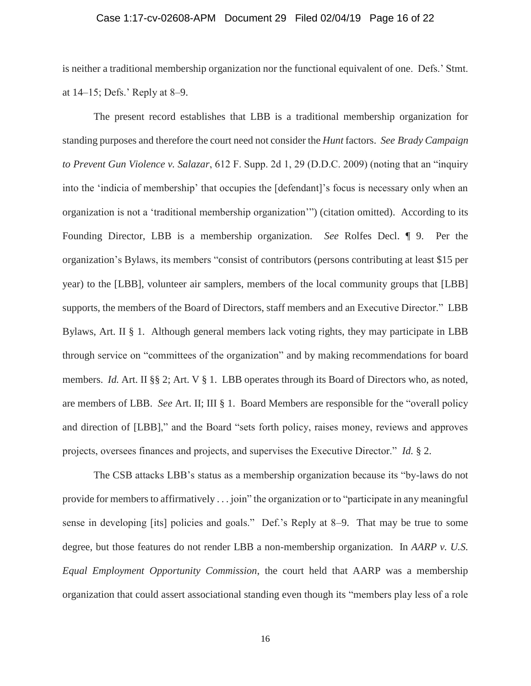#### Case 1:17-cv-02608-APM Document 29 Filed 02/04/19 Page 16 of 22

is neither a traditional membership organization nor the functional equivalent of one. Defs.' Stmt. at 14–15; Defs.' Reply at 8–9.

The present record establishes that LBB is a traditional membership organization for standing purposes and therefore the court need not consider the *Hunt* factors. *See Brady Campaign to Prevent Gun Violence v. Salazar*, 612 F. Supp. 2d 1, 29 (D.D.C. 2009) (noting that an "inquiry into the 'indicia of membership' that occupies the [defendant]'s focus is necessary only when an organization is not a 'traditional membership organization'") (citation omitted). According to its Founding Director, LBB is a membership organization. *See* Rolfes Decl. ¶ 9. Per the organization's Bylaws, its members "consist of contributors (persons contributing at least \$15 per year) to the [LBB], volunteer air samplers, members of the local community groups that [LBB] supports, the members of the Board of Directors, staff members and an Executive Director." LBB Bylaws, Art. II § 1. Although general members lack voting rights, they may participate in LBB through service on "committees of the organization" and by making recommendations for board members. *Id.* Art. II §§ 2; Art. V § 1. LBB operates through its Board of Directors who, as noted, are members of LBB. *See* Art. II; III § 1. Board Members are responsible for the "overall policy and direction of [LBB]," and the Board "sets forth policy, raises money, reviews and approves projects, oversees finances and projects, and supervises the Executive Director." *Id.* § 2.

The CSB attacks LBB's status as a membership organization because its "by-laws do not provide for members to affirmatively . . . join" the organization or to "participate in any meaningful sense in developing [its] policies and goals." Def.'s Reply at 8–9. That may be true to some degree, but those features do not render LBB a non-membership organization. In *AARP v. U.S. Equal Employment Opportunity Commission*, the court held that AARP was a membership organization that could assert associational standing even though its "members play less of a role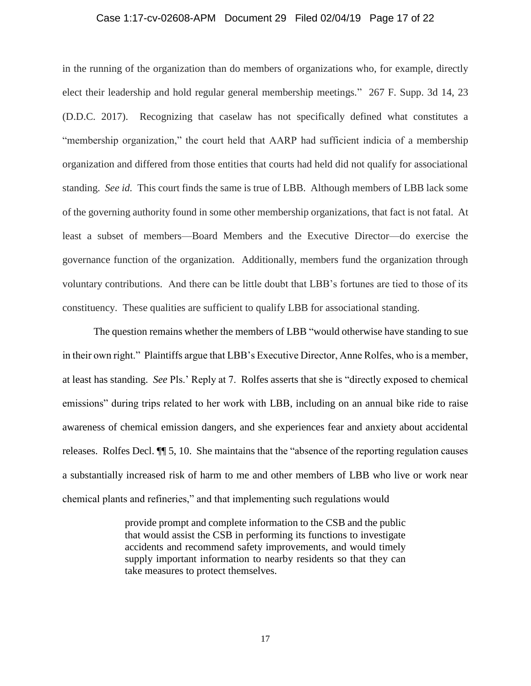#### Case 1:17-cv-02608-APM Document 29 Filed 02/04/19 Page 17 of 22

in the running of the organization than do members of organizations who, for example, directly elect their leadership and hold regular general membership meetings." 267 F. Supp. 3d 14, 23 (D.D.C. 2017). Recognizing that caselaw has not specifically defined what constitutes a "membership organization," the court held that AARP had sufficient indicia of a membership organization and differed from those entities that courts had held did not qualify for associational standing. *See id.* This court finds the same is true of LBB. Although members of LBB lack some of the governing authority found in some other membership organizations, that fact is not fatal. At least a subset of members—Board Members and the Executive Director—do exercise the governance function of the organization. Additionally, members fund the organization through voluntary contributions. And there can be little doubt that LBB's fortunes are tied to those of its constituency. These qualities are sufficient to qualify LBB for associational standing.

The question remains whether the members of LBB "would otherwise have standing to sue in their own right." Plaintiffs argue that LBB's Executive Director, Anne Rolfes, who is a member, at least has standing. *See* Pls.' Reply at 7. Rolfes asserts that she is "directly exposed to chemical emissions" during trips related to her work with LBB, including on an annual bike ride to raise awareness of chemical emission dangers, and she experiences fear and anxiety about accidental releases. Rolfes Decl. ¶¶ 5, 10. She maintains that the "absence of the reporting regulation causes a substantially increased risk of harm to me and other members of LBB who live or work near chemical plants and refineries," and that implementing such regulations would

> provide prompt and complete information to the CSB and the public that would assist the CSB in performing its functions to investigate accidents and recommend safety improvements, and would timely supply important information to nearby residents so that they can take measures to protect themselves.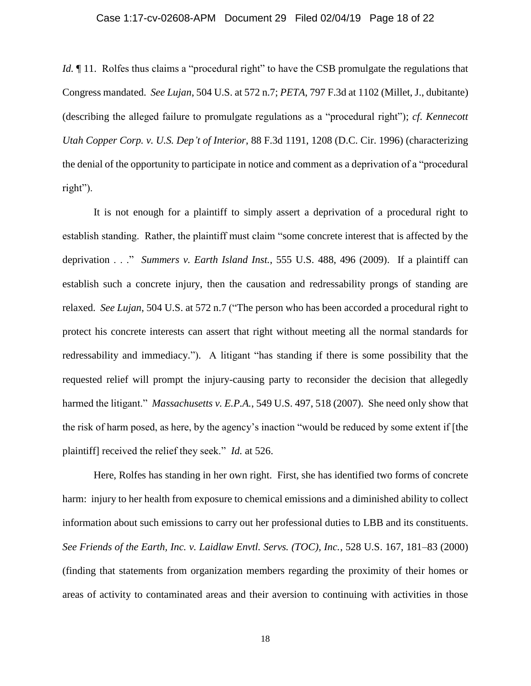#### Case 1:17-cv-02608-APM Document 29 Filed 02/04/19 Page 18 of 22

*Id.*  $\parallel$  11. Rolfes thus claims a "procedural right" to have the CSB promulgate the regulations that Congress mandated. *See Lujan*, 504 U.S. at 572 n.7; *PETA*, 797 F.3d at 1102 (Millet, J., dubitante) (describing the alleged failure to promulgate regulations as a "procedural right"); *cf*. *Kennecott Utah Copper Corp. v. U.S. Dep't of Interior*, 88 F.3d 1191, 1208 (D.C. Cir. 1996) (characterizing the denial of the opportunity to participate in notice and comment as a deprivation of a "procedural right").

It is not enough for a plaintiff to simply assert a deprivation of a procedural right to establish standing. Rather, the plaintiff must claim "some concrete interest that is affected by the deprivation . . ." *Summers v. Earth Island Inst.*, 555 U.S. 488, 496 (2009). If a plaintiff can establish such a concrete injury, then the causation and redressability prongs of standing are relaxed. *See Lujan*, 504 U.S. at 572 n.7 ("The person who has been accorded a procedural right to protect his concrete interests can assert that right without meeting all the normal standards for redressability and immediacy."). A litigant "has standing if there is some possibility that the requested relief will prompt the injury-causing party to reconsider the decision that allegedly harmed the litigant." *Massachusetts v. E.P.A.*, 549 U.S. 497, 518 (2007). She need only show that the risk of harm posed, as here, by the agency's inaction "would be reduced by some extent if [the plaintiff] received the relief they seek." *Id.* at 526.

Here, Rolfes has standing in her own right. First, she has identified two forms of concrete harm: injury to her health from exposure to chemical emissions and a diminished ability to collect information about such emissions to carry out her professional duties to LBB and its constituents. *See Friends of the Earth, Inc. v. Laidlaw Envtl. Servs. (TOC), Inc.*, 528 U.S. 167, 181–83 (2000) (finding that statements from organization members regarding the proximity of their homes or areas of activity to contaminated areas and their aversion to continuing with activities in those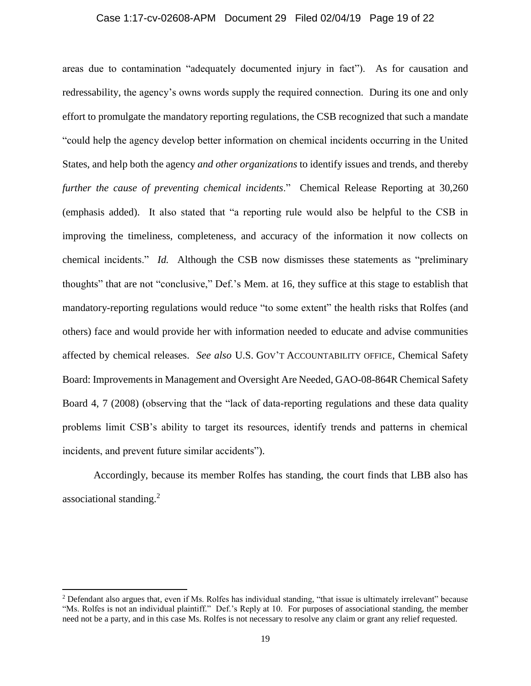#### Case 1:17-cv-02608-APM Document 29 Filed 02/04/19 Page 19 of 22

areas due to contamination "adequately documented injury in fact"). As for causation and redressability, the agency's owns words supply the required connection. During its one and only effort to promulgate the mandatory reporting regulations, the CSB recognized that such a mandate "could help the agency develop better information on chemical incidents occurring in the United States, and help both the agency *and other organizations* to identify issues and trends, and thereby *further the cause of preventing chemical incidents*." Chemical Release Reporting at 30,260 (emphasis added). It also stated that "a reporting rule would also be helpful to the CSB in improving the timeliness, completeness, and accuracy of the information it now collects on chemical incidents." *Id.* Although the CSB now dismisses these statements as "preliminary thoughts" that are not "conclusive," Def.'s Mem. at 16, they suffice at this stage to establish that mandatory-reporting regulations would reduce "to some extent" the health risks that Rolfes (and others) face and would provide her with information needed to educate and advise communities affected by chemical releases. *See also* U.S. GOV'T ACCOUNTABILITY OFFICE, Chemical Safety Board: Improvements in Management and Oversight Are Needed, GAO-08-864R Chemical Safety Board 4, 7 (2008) (observing that the "lack of data-reporting regulations and these data quality problems limit CSB's ability to target its resources, identify trends and patterns in chemical incidents, and prevent future similar accidents").

Accordingly, because its member Rolfes has standing, the court finds that LBB also has associational standing.<sup>2</sup>

 $\overline{\phantom{a}}$ 

<sup>2</sup> Defendant also argues that, even if Ms. Rolfes has individual standing, "that issue is ultimately irrelevant" because "Ms. Rolfes is not an individual plaintiff." Def.'s Reply at 10. For purposes of associational standing, the member need not be a party, and in this case Ms. Rolfes is not necessary to resolve any claim or grant any relief requested.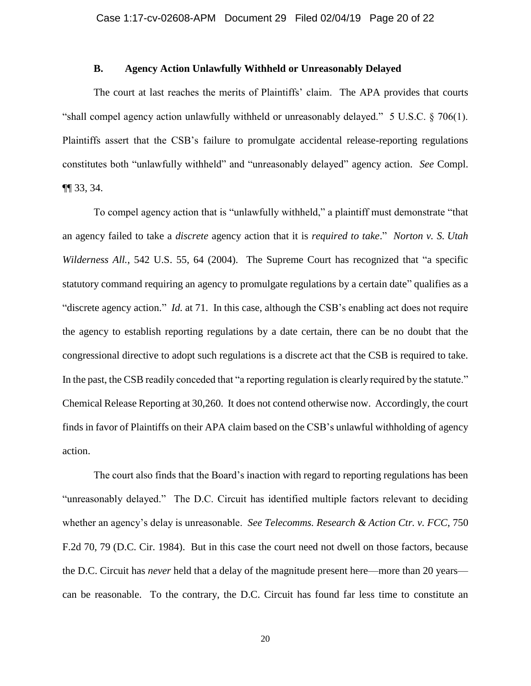#### **B. Agency Action Unlawfully Withheld or Unreasonably Delayed**

The court at last reaches the merits of Plaintiffs' claim. The APA provides that courts "shall compel agency action unlawfully withheld or unreasonably delayed." 5 U.S.C. § 706(1). Plaintiffs assert that the CSB's failure to promulgate accidental release-reporting regulations constitutes both "unlawfully withheld" and "unreasonably delayed" agency action. *See* Compl. ¶¶ 33, 34.

To compel agency action that is "unlawfully withheld," a plaintiff must demonstrate "that an agency failed to take a *discrete* agency action that it is *required to take*." *Norton v. S. Utah Wilderness All.*, 542 U.S. 55, 64 (2004). The Supreme Court has recognized that "a specific statutory command requiring an agency to promulgate regulations by a certain date" qualifies as a "discrete agency action." *Id.* at 71. In this case, although the CSB's enabling act does not require the agency to establish reporting regulations by a date certain, there can be no doubt that the congressional directive to adopt such regulations is a discrete act that the CSB is required to take. In the past, the CSB readily conceded that "a reporting regulation is clearly required by the statute." Chemical Release Reporting at 30,260. It does not contend otherwise now. Accordingly, the court finds in favor of Plaintiffs on their APA claim based on the CSB's unlawful withholding of agency action.

The court also finds that the Board's inaction with regard to reporting regulations has been "unreasonably delayed." The D.C. Circuit has identified multiple factors relevant to deciding whether an agency's delay is unreasonable. *See Telecomms. Research & Action Ctr. v. FCC*, 750 F.2d 70, 79 (D.C. Cir. 1984). But in this case the court need not dwell on those factors, because the D.C. Circuit has *never* held that a delay of the magnitude present here—more than 20 years can be reasonable. To the contrary, the D.C. Circuit has found far less time to constitute an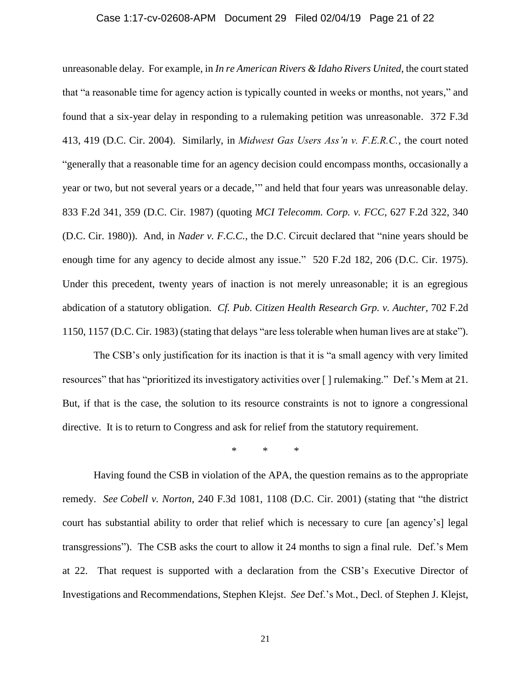#### Case 1:17-cv-02608-APM Document 29 Filed 02/04/19 Page 21 of 22

unreasonable delay. For example, in *In re American Rivers & Idaho Rivers United*, the court stated that "a reasonable time for agency action is typically counted in weeks or months, not years," and found that a six-year delay in responding to a rulemaking petition was unreasonable. 372 F.3d 413, 419 (D.C. Cir. 2004). Similarly, in *Midwest Gas Users Ass'n v. F.E.R.C.*, the court noted "generally that a reasonable time for an agency decision could encompass months, occasionally a year or two, but not several years or a decade,'" and held that four years was unreasonable delay. 833 F.2d 341, 359 (D.C. Cir. 1987) (quoting *MCI Telecomm. Corp. v. FCC*, 627 F.2d 322, 340 (D.C. Cir. 1980)). And, in *Nader v. F.C.C.*, the D.C. Circuit declared that "nine years should be enough time for any agency to decide almost any issue." 520 F.2d 182, 206 (D.C. Cir. 1975). Under this precedent, twenty years of inaction is not merely unreasonable; it is an egregious abdication of a statutory obligation. *Cf. Pub. Citizen Health Research Grp. v. Auchter*, 702 F.2d 1150, 1157 (D.C. Cir. 1983) (stating that delays "are less tolerable when human lives are at stake").

The CSB's only justification for its inaction is that it is "a small agency with very limited resources" that has "prioritized its investigatory activities over [ ] rulemaking." Def.'s Mem at 21. But, if that is the case, the solution to its resource constraints is not to ignore a congressional directive. It is to return to Congress and ask for relief from the statutory requirement.

\* \* \*

Having found the CSB in violation of the APA, the question remains as to the appropriate remedy. *See Cobell v. Norton*, 240 F.3d 1081, 1108 (D.C. Cir. 2001) (stating that "the district court has substantial ability to order that relief which is necessary to cure [an agency's] legal transgressions"). The CSB asks the court to allow it 24 months to sign a final rule. Def.'s Mem at 22. That request is supported with a declaration from the CSB's Executive Director of Investigations and Recommendations, Stephen Klejst. *See* Def.'s Mot., Decl. of Stephen J. Klejst,